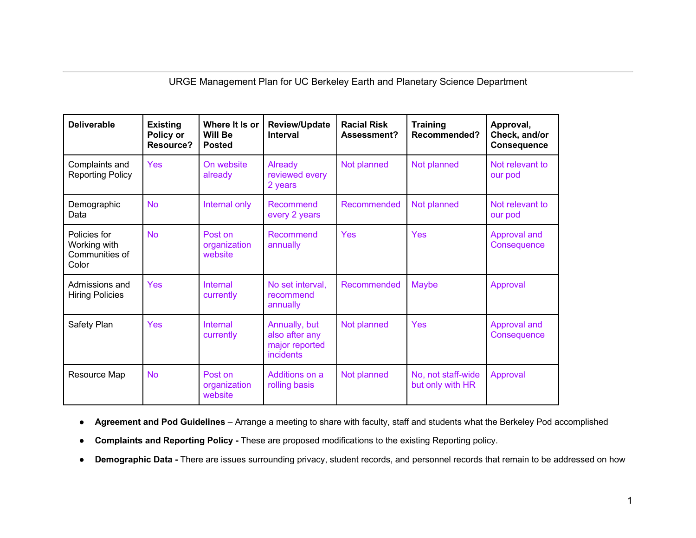URGE Management Plan for UC Berkeley Earth and Planetary Science Department

| <b>Deliverable</b>                                      | <b>Existing</b><br>Policy or<br><b>Resource?</b> | Where It Is or<br><b>Will Be</b><br><b>Posted</b> | <b>Review/Update</b><br><b>Interval</b>                        | <b>Racial Risk</b><br>Assessment? | <b>Training</b><br>Recommended?        | Approval,<br>Check, and/or<br><b>Consequence</b> |
|---------------------------------------------------------|--------------------------------------------------|---------------------------------------------------|----------------------------------------------------------------|-----------------------------------|----------------------------------------|--------------------------------------------------|
| Complaints and<br><b>Reporting Policy</b>               | <b>Yes</b>                                       | On website<br>already                             | Already<br>reviewed every<br>2 years                           | Not planned                       | Not planned                            | Not relevant to<br>our pod                       |
| Demographic<br>Data                                     | <b>No</b>                                        | Internal only                                     | Recommend<br>every 2 years                                     | Recommended                       | Not planned                            | Not relevant to<br>our pod                       |
| Policies for<br>Working with<br>Communities of<br>Color | <b>No</b>                                        | Post on<br>organization<br>website                | Recommend<br>annually                                          | Yes                               | Yes                                    | Approval and<br>Consequence                      |
| Admissions and<br><b>Hiring Policies</b>                | <b>Yes</b>                                       | Internal<br>currently                             | No set interval,<br>recommend<br>annually                      | Recommended                       | Maybe                                  | Approval                                         |
| Safety Plan                                             | Yes                                              | Internal<br>currently                             | Annually, but<br>also after any<br>major reported<br>incidents | Not planned                       | Yes                                    | Approval and<br>Consequence                      |
| Resource Map                                            | <b>No</b>                                        | Post on<br>organization<br>website                | Additions on a<br>rolling basis                                | Not planned                       | No, not staff-wide<br>but only with HR | Approval                                         |

● **Agreement and Pod Guidelines** – Arrange a meeting to share with faculty, staff and students what the Berkeley Pod accomplished

- **Complaints and Reporting Policy -** These are proposed modifications to the existing Reporting policy.
- **Demographic Data -** There are issues surrounding privacy, student records, and personnel records that remain to be addressed on how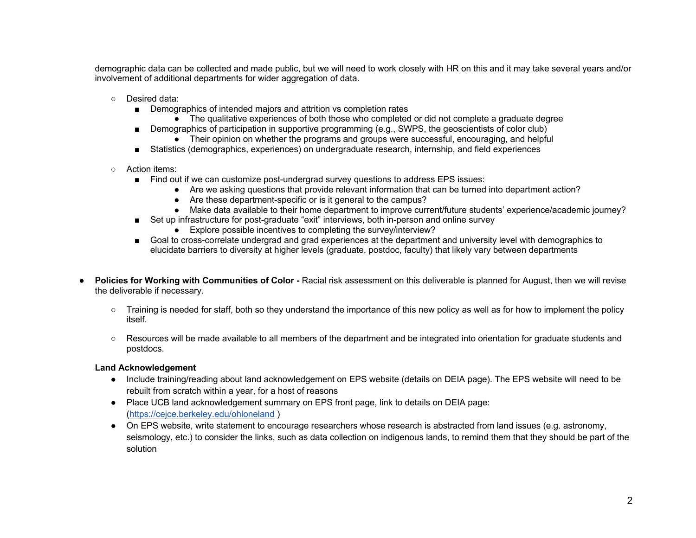demographic data can be collected and made public, but we will need to work closely with HR on this and it may take several years and/or involvement of additional departments for wider aggregation of data.

- Desired data:
	- Demographics of intended majors and attrition vs completion rates
		- The qualitative experiences of both those who completed or did not complete a graduate degree
	- Demographics of participation in supportive programming (e.g., SWPS, the geoscientists of color club)
		- Their opinion on whether the programs and groups were successful, encouraging, and helpful
	- Statistics (demographics, experiences) on undergraduate research, internship, and field experiences
- Action items:
	- Find out if we can customize post-undergrad survey questions to address EPS issues:
		- Are we asking questions that provide relevant information that can be turned into department action?
		- Are these department-specific or is it general to the campus?
		- Make data available to their home department to improve current/future students' experience/academic journey?
	- Set up infrastructure for post-graduate "exit" interviews, both in-person and online survey
		- Explore possible incentives to completing the survey/interview?
	- Goal to cross-correlate undergrad and grad experiences at the department and university level with demographics to elucidate barriers to diversity at higher levels (graduate, postdoc, faculty) that likely vary between departments
- **Policies for Working with Communities of Color -** Racial risk assessment on this deliverable is planned for August, then we will revise the deliverable if necessary.
	- Training is needed for staff, both so they understand the importance of this new policy as well as for how to implement the policy itself.
	- Resources will be made available to all members of the department and be integrated into orientation for graduate students and postdocs.

**Land Acknowledgement**

- Include training/reading about land acknowledgement on EPS website (details on DEIA page). The EPS website will need to be rebuilt from scratch within a year, for a host of reasons
- Place UCB land acknowledgement summary on EPS front page, link to details on DEIA page: (https://cejce.berkeley.edu/ohloneland )
- On EPS website, write statement to encourage researchers whose research is abstracted from land issues (e.g. astronomy, seismology, etc.) to consider the links, such as data collection on indigenous lands, to remind them that they should be part of the solution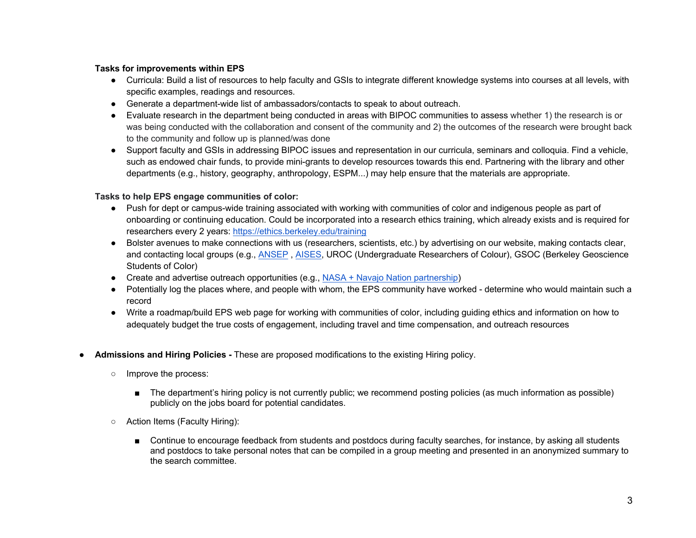## **Tasks for improvements within EPS**

- Curricula: Build a list of resources to help faculty and GSIs to integrate different knowledge systems into courses at all levels, with specific examples, readings and resources.
- Generate a department-wide list of ambassadors/contacts to speak to about outreach.
- Evaluate research in the department being conducted in areas with BIPOC communities to assess whether 1) the research is or was being conducted with the collaboration and consent of the community and 2) the outcomes of the research were brought back to the community and follow up is planned/was done
- Support faculty and GSIs in addressing BIPOC issues and representation in our curricula, seminars and colloquia. Find a vehicle, such as endowed chair funds, to provide mini-grants to develop resources towards this end. Partnering with the library and other departments (e.g., history, geography, anthropology, ESPM...) may help ensure that the materials are appropriate.

## **Tasks to help EPS engage communities of color:**

- Push for dept or campus-wide training associated with working with communities of color and indigenous people as part of onboarding or continuing education. Could be incorporated into a research ethics training, which already exists and is required for researchers every 2 years: https://ethics.berkeley.edu/training
- Bolster avenues to make connections with us (researchers, scientists, etc.) by advertising on our website, making contacts clear, and contacting local groups (e.g., ANSEP, AISES, UROC (Undergraduate Researchers of Colour), GSOC (Berkeley Geoscience Students of Color)
- Create and advertise outreach opportunities (e.g., NASA + Navajo Nation partnership)
- Potentially log the places where, and people with whom, the EPS community have worked determine who would maintain such a record
- Write a roadmap/build EPS web page for working with communities of color, including guiding ethics and information on how to adequately budget the true costs of engagement, including travel and time compensation, and outreach resources
- **Admissions and Hiring Policies -** These are proposed modifications to the existing Hiring policy.
	- Improve the process:
		- The department's hiring policy is not currently public; we recommend posting policies (as much information as possible) publicly on the jobs board for potential candidates.
	- Action Items (Faculty Hiring):
		- Continue to encourage feedback from students and postdocs during faculty searches, for instance, by asking all students and postdocs to take personal notes that can be compiled in a group meeting and presented in an anonymized summary to the search committee.